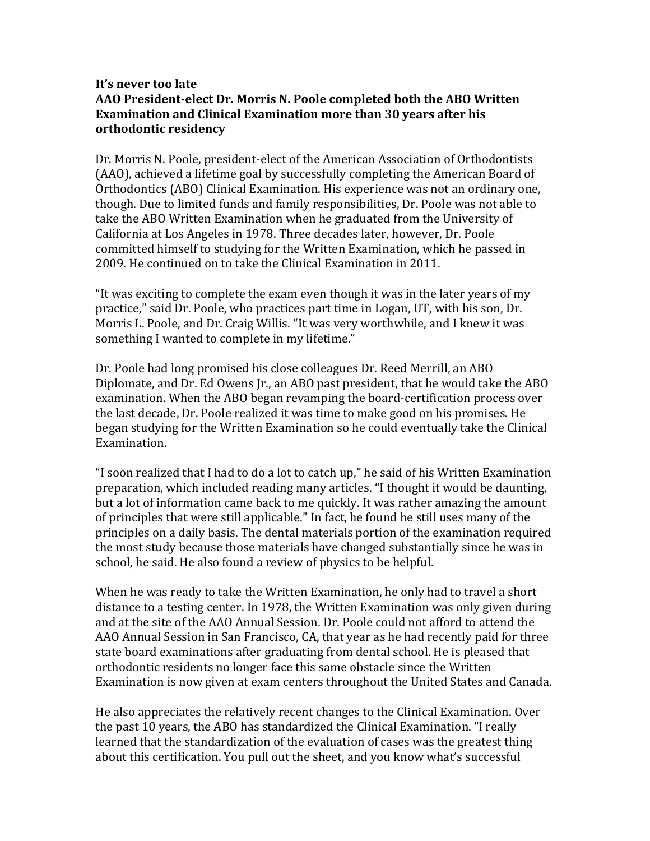## **It's never too late AAO President-elect Dr. Morris N. Poole completed both the ABO Written Examination and Clinical Examination more than 30 years after his orthodontic residency**

Dr. Morris N. Poole, president-elect of the American Association of Orthodontists (AAO), achieved a lifetime goal by successfully completing the American Board of Orthodontics (ABO) Clinical Examination. His experience was not an ordinary one, though. Due to limited funds and family responsibilities, Dr. Poole was not able to take the ABO Written Examination when he graduated from the University of California at Los Angeles in 1978. Three decades later, however, Dr. Poole committed himself to studying for the Written Examination, which he passed in 2009. He continued on to take the Clinical Examination in 2011.

"It was exciting to complete the exam even though it was in the later years of my practice," said Dr. Poole, who practices part time in Logan, UT, with his son, Dr. Morris L. Poole, and Dr. Craig Willis. "It was very worthwhile, and I knew it was something I wanted to complete in my lifetime."

Dr. Poole had long promised his close colleagues Dr. Reed Merrill, an ABO Diplomate, and Dr. Ed Owens Jr., an ABO past president, that he would take the ABO examination. When the ABO began revamping the board-certification process over the last decade, Dr. Poole realized it was time to make good on his promises. He began studying for the Written Examination so he could eventually take the Clinical Examination.

"I soon realized that I had to do a lot to catch up," he said of his Written Examination preparation, which included reading many articles. "I thought it would be daunting, but a lot of information came back to me quickly. It was rather amazing the amount of principles that were still applicable." In fact, he found he still uses many of the principles on a daily basis. The dental materials portion of the examination required the most study because those materials have changed substantially since he was in school, he said. He also found a review of physics to be helpful.

When he was ready to take the Written Examination, he only had to travel a short distance to a testing center. In 1978, the Written Examination was only given during and at the site of the AAO Annual Session. Dr. Poole could not afford to attend the AAO Annual Session in San Francisco, CA, that year as he had recently paid for three state board examinations after graduating from dental school. He is pleased that orthodontic residents no longer face this same obstacle since the Written Examination is now given at exam centers throughout the United States and Canada.

He also appreciates the relatively recent changes to the Clinical Examination. Over the past 10 years, the ABO has standardized the Clinical Examination. "I really learned that the standardization of the evaluation of cases was the greatest thing about this certification. You pull out the sheet, and you know what's successful